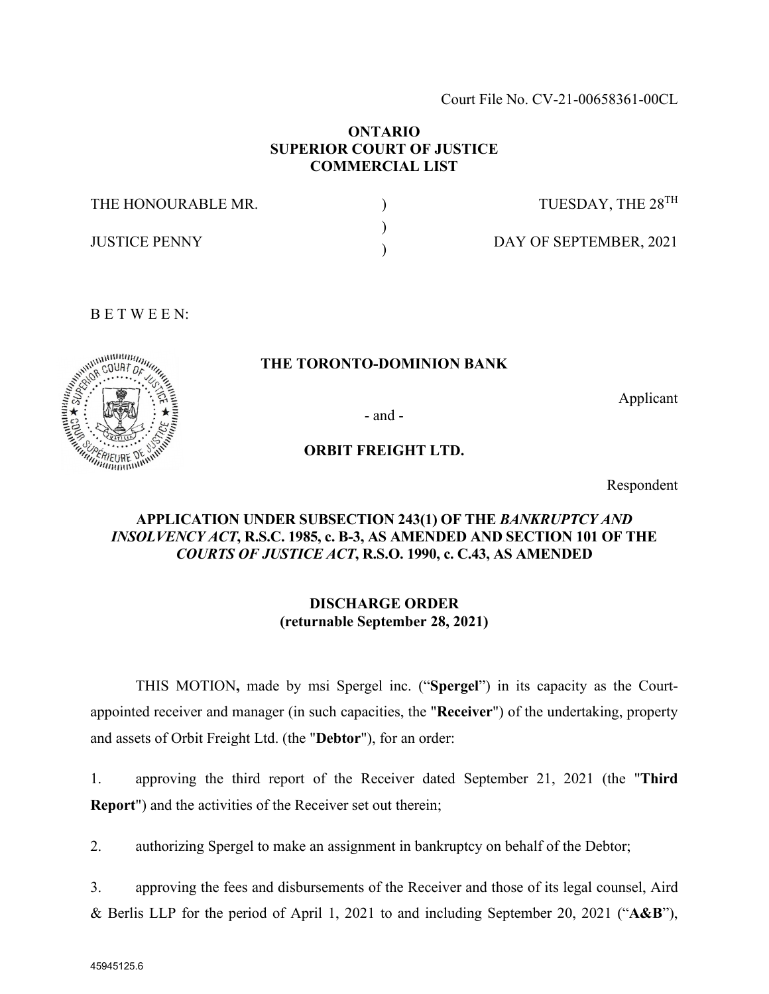Court File No. CV-21-00658361-00CL

## **ONTARIO SUPERIOR COURT OF JUSTICE COMMERCIAL LIST**

| THE HONOURABLE MR.   | TUESDAY, THE 28 <sup>TH</sup> |
|----------------------|-------------------------------|
| <b>JUSTICE PENNY</b> | DAY OF SEPTEMBER, 2021        |

## **THE TORONTO-DOMINION BANK**

Applicant

- and -

### **ORBIT FREIGHT LTD.**

Respondent

# **APPLICATION UNDER SUBSECTION 243(1) OF THE** *BANKRUPTCY AND INSOLVENCY ACT***, R.S.C. 1985, c. B-3, AS AMENDED AND SECTION 101 OF THE**  *COURTS OF JUSTICE ACT***, R.S.O. 1990, c. C.43, AS AMENDED**

## **DISCHARGE ORDER (returnable September 28, 2021)**

THIS MOTION**,** made by msi Spergel inc. ("**Spergel**") in its capacity as the Courtappointed receiver and manager (in such capacities, the "**Receiver**") of the undertaking, property and assets of Orbit Freight Ltd. (the "**Debtor**"), for an order:

1. approving the third report of the Receiver dated September 21, 2021 (the "**Third Report**") and the activities of the Receiver set out therein;

2. authorizing Spergel to make an assignment in bankruptcy on behalf of the Debtor;

3. approving the fees and disbursements of the Receiver and those of its legal counsel, Aird & Berlis LLP for the period of April 1, 2021 to and including September 20, 2021 ("**A&B**"),

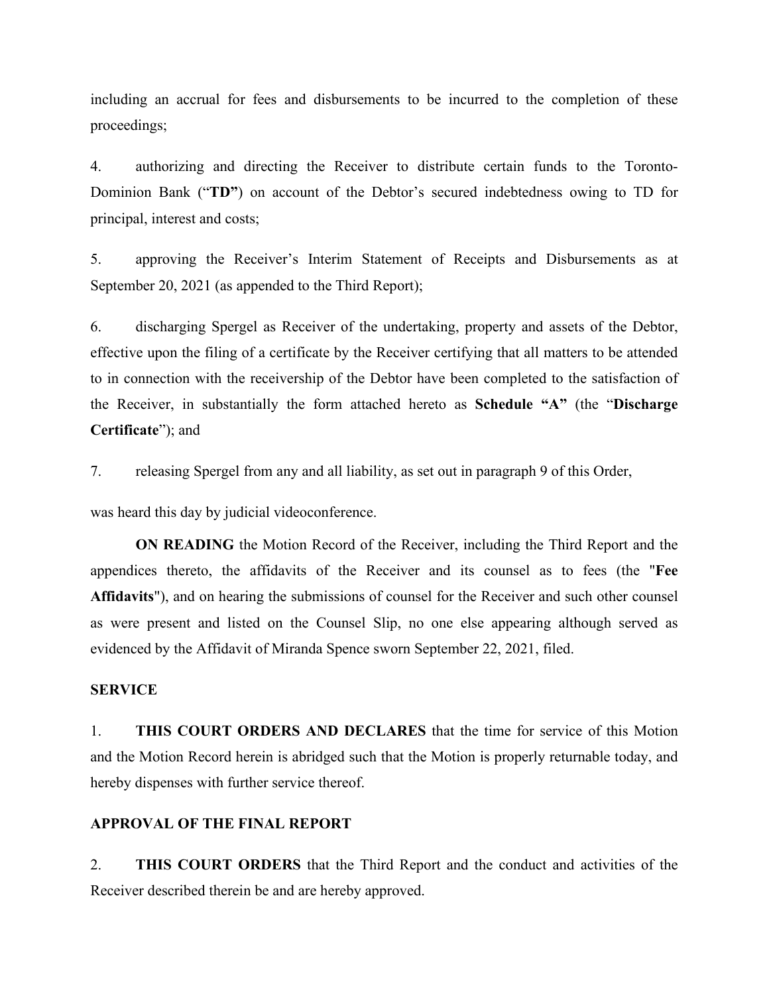including an accrual for fees and disbursements to be incurred to the completion of these proceedings;

4. authorizing and directing the Receiver to distribute certain funds to the Toronto-Dominion Bank ("**TD"**) on account of the Debtor's secured indebtedness owing to TD for principal, interest and costs;

5. approving the Receiver's Interim Statement of Receipts and Disbursements as at September 20, 2021 (as appended to the Third Report);

6. discharging Spergel as Receiver of the undertaking, property and assets of the Debtor, effective upon the filing of a certificate by the Receiver certifying that all matters to be attended to in connection with the receivership of the Debtor have been completed to the satisfaction of the Receiver, in substantially the form attached hereto as **Schedule "A"** (the "**Discharge Certificate**"); and

7. releasing Spergel from any and all liability, as set out in paragraph 9 of this Order,

was heard this day by judicial videoconference.

**ON READING** the Motion Record of the Receiver, including the Third Report and the appendices thereto, the affidavits of the Receiver and its counsel as to fees (the "**Fee Affidavits**"), and on hearing the submissions of counsel for the Receiver and such other counsel as were present and listed on the Counsel Slip, no one else appearing although served as evidenced by the Affidavit of Miranda Spence sworn September 22, 2021, filed.

### **SERVICE**

1. **THIS COURT ORDERS AND DECLARES** that the time for service of this Motion and the Motion Record herein is abridged such that the Motion is properly returnable today, and hereby dispenses with further service thereof.

# **APPROVAL OF THE FINAL REPORT**

2. **THIS COURT ORDERS** that the Third Report and the conduct and activities of the Receiver described therein be and are hereby approved.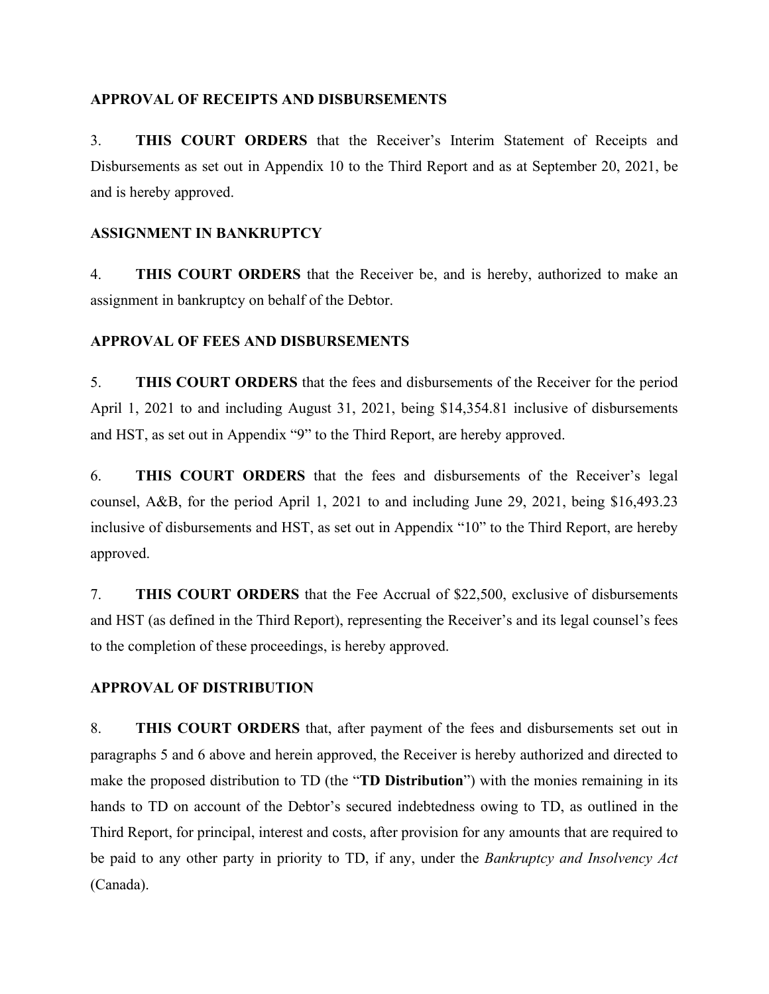# **APPROVAL OF RECEIPTS AND DISBURSEMENTS**

3. **THIS COURT ORDERS** that the Receiver's Interim Statement of Receipts and Disbursements as set out in Appendix 10 to the Third Report and as at September 20, 2021, be and is hereby approved.

# **ASSIGNMENT IN BANKRUPTCY**

4. **THIS COURT ORDERS** that the Receiver be, and is hereby, authorized to make an assignment in bankruptcy on behalf of the Debtor.

# **APPROVAL OF FEES AND DISBURSEMENTS**

5. **THIS COURT ORDERS** that the fees and disbursements of the Receiver for the period April 1, 2021 to and including August 31, 2021, being \$14,354.81 inclusive of disbursements and HST, as set out in Appendix "9" to the Third Report, are hereby approved.

6. **THIS COURT ORDERS** that the fees and disbursements of the Receiver's legal counsel, A&B, for the period April 1, 2021 to and including June 29, 2021, being \$16,493.23 inclusive of disbursements and HST, as set out in Appendix "10" to the Third Report, are hereby approved.

7. **THIS COURT ORDERS** that the Fee Accrual of \$22,500, exclusive of disbursements and HST (as defined in the Third Report), representing the Receiver's and its legal counsel's fees to the completion of these proceedings, is hereby approved.

# **APPROVAL OF DISTRIBUTION**

8. **THIS COURT ORDERS** that, after payment of the fees and disbursements set out in paragraphs 5 and 6 above and herein approved, the Receiver is hereby authorized and directed to make the proposed distribution to TD (the "**TD Distribution**") with the monies remaining in its hands to TD on account of the Debtor's secured indebtedness owing to TD, as outlined in the Third Report, for principal, interest and costs, after provision for any amounts that are required to be paid to any other party in priority to TD, if any, under the *Bankruptcy and Insolvency Act* (Canada).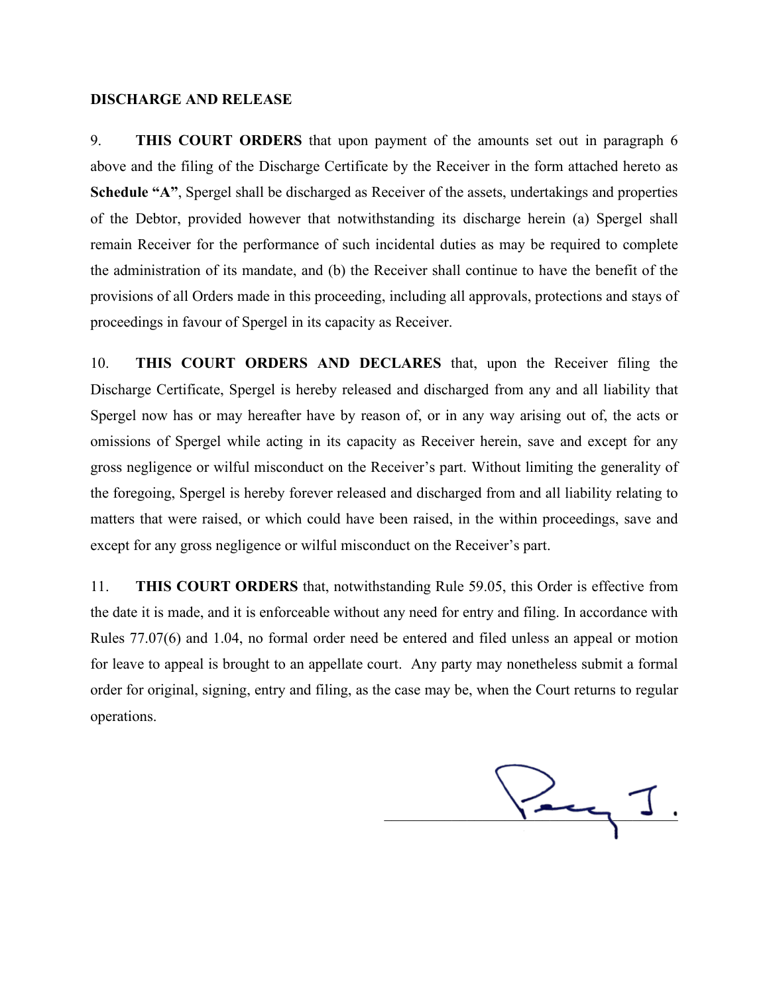#### **DISCHARGE AND RELEASE**

9. **THIS COURT ORDERS** that upon payment of the amounts set out in paragraph 6 above and the filing of the Discharge Certificate by the Receiver in the form attached hereto as **Schedule "A"**, Spergel shall be discharged as Receiver of the assets, undertakings and properties of the Debtor, provided however that notwithstanding its discharge herein (a) Spergel shall remain Receiver for the performance of such incidental duties as may be required to complete the administration of its mandate, and (b) the Receiver shall continue to have the benefit of the provisions of all Orders made in this proceeding, including all approvals, protections and stays of proceedings in favour of Spergel in its capacity as Receiver.

10. **THIS COURT ORDERS AND DECLARES** that, upon the Receiver filing the Discharge Certificate, Spergel is hereby released and discharged from any and all liability that Spergel now has or may hereafter have by reason of, or in any way arising out of, the acts or omissions of Spergel while acting in its capacity as Receiver herein, save and except for any gross negligence or wilful misconduct on the Receiver's part. Without limiting the generality of the foregoing, Spergel is hereby forever released and discharged from and all liability relating to matters that were raised, or which could have been raised, in the within proceedings, save and except for any gross negligence or wilful misconduct on the Receiver's part.

11. **THIS COURT ORDERS** that, notwithstanding Rule 59.05, this Order is effective from the date it is made, and it is enforceable without any need for entry and filing. In accordance with Rules 77.07(6) and 1.04, no formal order need be entered and filed unless an appeal or motion for leave to appeal is brought to an appellate court. Any party may nonetheless submit a formal order for original, signing, entry and filing, as the case may be, when the Court returns to regular operations.

\_\_\_\_\_\_\_\_\_\_\_\_\_\_\_\_\_\_\_\_\_\_\_\_\_\_\_\_\_\_\_\_\_\_\_\_\_\_\_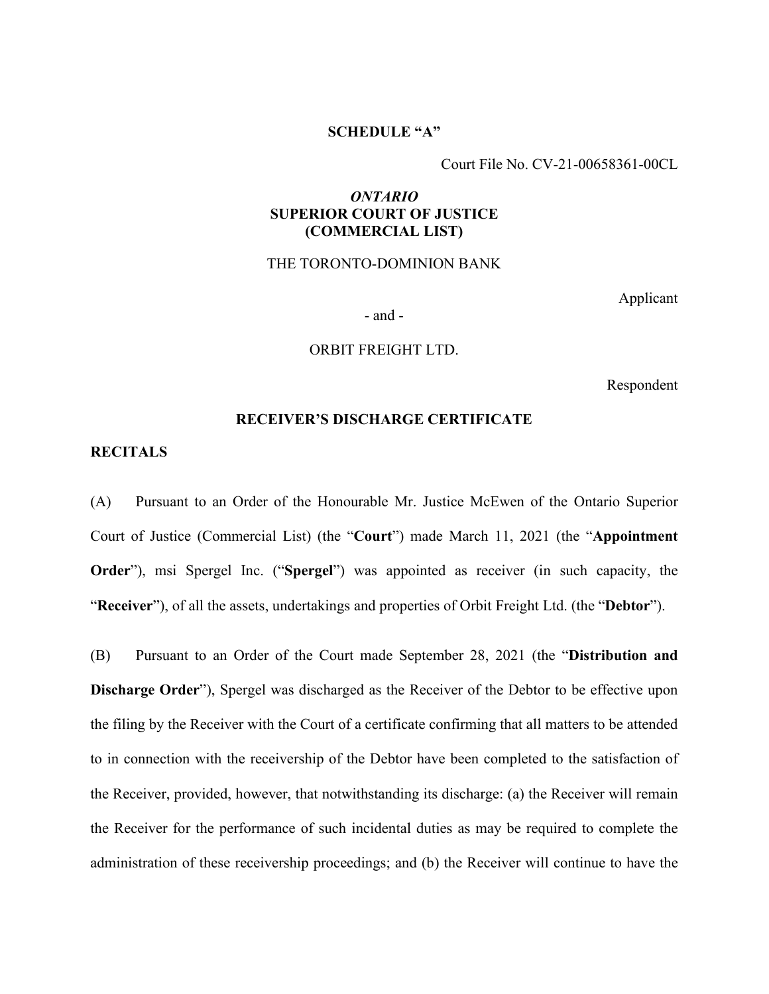# **SCHEDULE "A"**

Court File No. CV-21-00658361-00CL

# *ONTARIO*  **SUPERIOR COURT OF JUSTICE (COMMERCIAL LIST)**

THE TORONTO-DOMINION BANK

Applicant

- and -

ORBIT FREIGHT LTD.

Respondent

#### **RECEIVER'S DISCHARGE CERTIFICATE**

#### **RECITALS**

(A) Pursuant to an Order of the Honourable Mr. Justice McEwen of the Ontario Superior Court of Justice (Commercial List) (the "**Court**") made March 11, 2021 (the "**Appointment Order**"), msi Spergel Inc. ("**Spergel**") was appointed as receiver (in such capacity, the "**Receiver**"), of all the assets, undertakings and properties of Orbit Freight Ltd. (the "**Debtor**").

(B) Pursuant to an Order of the Court made September 28, 2021 (the "**Distribution and Discharge Order**"), Spergel was discharged as the Receiver of the Debtor to be effective upon the filing by the Receiver with the Court of a certificate confirming that all matters to be attended to in connection with the receivership of the Debtor have been completed to the satisfaction of the Receiver, provided, however, that notwithstanding its discharge: (a) the Receiver will remain the Receiver for the performance of such incidental duties as may be required to complete the administration of these receivership proceedings; and (b) the Receiver will continue to have the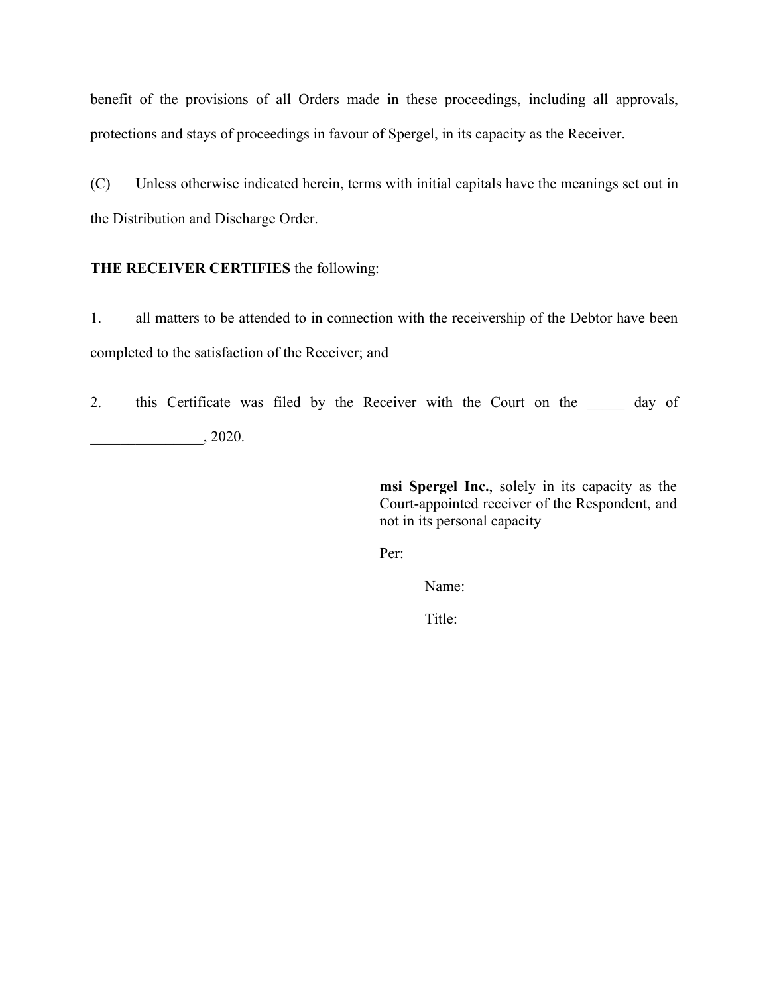benefit of the provisions of all Orders made in these proceedings, including all approvals, protections and stays of proceedings in favour of Spergel, in its capacity as the Receiver.

(C) Unless otherwise indicated herein, terms with initial capitals have the meanings set out in the Distribution and Discharge Order.

# **THE RECEIVER CERTIFIES** the following:

1. all matters to be attended to in connection with the receivership of the Debtor have been completed to the satisfaction of the Receiver; and

2. this Certificate was filed by the Receiver with the Court on the day of \_\_\_\_\_\_\_\_\_\_\_\_\_\_\_, 2020.

> **msi Spergel Inc.**, solely in its capacity as the Court-appointed receiver of the Respondent, and not in its personal capacity

Per:

Name:

Title: